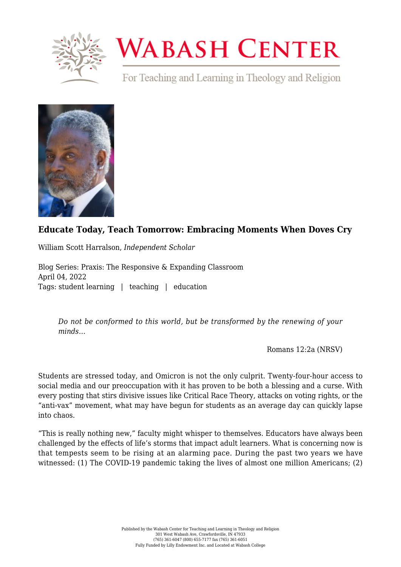

## **WABASH CENTER**

For Teaching and Learning in Theology and Religion



## **[Educate Today, Teach Tomorrow: Embracing Moments When Doves Cry](https://www.wabashcenter.wabash.edu/2022/04/educate-today-teach-tomorrow-embracing-moments-when-doves-cry/)**

William Scott Harralson, *Independent Scholar*

Blog Series: Praxis: The Responsive & Expanding Classroom April 04, 2022 Tags: student learning | teaching | education

*Do not be conformed to this world, but be transformed by the renewing of your minds…*

Romans 12:2a (NRSV)

Students are stressed today, and Omicron is not the only culprit. Twenty-four-hour access to social media and our preoccupation with it has proven to be both a blessing and a curse. With every posting that stirs divisive issues like Critical Race Theory, attacks on voting rights, or the "anti-vax" movement, what may have begun for students as an average day can quickly lapse into chaos.

"This is really nothing new," faculty might whisper to themselves. Educators have always been challenged by the effects of life's storms that impact adult learners. What is concerning now is that tempests seem to be rising at an alarming pace. During the past two years we have witnessed: (1) The COVID-19 pandemic taking the lives of almost one million Americans; (2)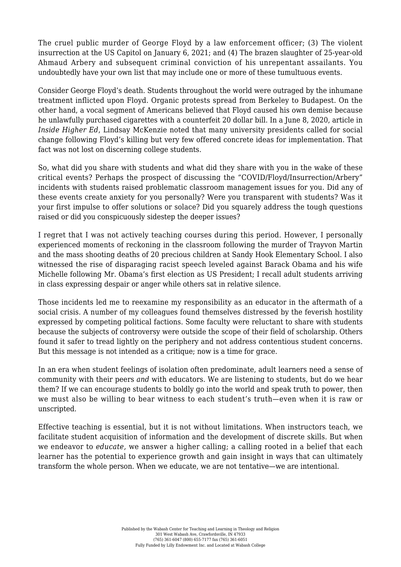The cruel public murder of George Floyd by a law enforcement officer; (3) The violent insurrection at the US Capitol on January 6, 2021; and (4) The brazen slaughter of 25-year-old Ahmaud Arbery and subsequent criminal conviction of his unrepentant assailants. You undoubtedly have your own list that may include one or more of these tumultuous events.

Consider George Floyd's death. Students throughout the world were outraged by the inhumane treatment inflicted upon Floyd. Organic protests spread from Berkeley to Budapest. On the other hand, a vocal segment of Americans believed that Floyd caused his own demise because he unlawfully purchased cigarettes with a counterfeit 20 dollar bill. In a June 8, 2020, article in *Inside Higher Ed*, Lindsay McKenzie [noted](https://www.insidehighered.com/news/2020/06/08/searching-meaningful-response-college-leaders-killing-george-floyd) that many university presidents called for social change following Floyd's killing but very few offered concrete ideas for implementation. That fact was not lost on discerning college students.

So, what did you share with students and what did they share with you in the wake of these critical events? Perhaps the prospect of discussing the "COVID/Floyd/Insurrection/Arbery" incidents with students raised problematic classroom management issues for you. Did any of these events create anxiety for you personally? Were you transparent with students? Was it your first impulse to offer solutions or solace? Did you squarely address the tough questions raised or did you conspicuously sidestep the deeper issues?

I regret that I was not actively teaching courses during this period. However, I personally experienced moments of reckoning in the classroom following the murder of Trayvon Martin and the mass shooting deaths of 20 precious children at Sandy Hook Elementary School. I also witnessed the rise of disparaging racist speech leveled against Barack Obama and his wife Michelle following Mr. Obama's first election as US President; I recall adult students arriving in class expressing despair or anger while others sat in relative silence.

Those incidents led me to reexamine my responsibility as an educator in the aftermath of a social crisis. A number of my colleagues found themselves distressed by the feverish hostility expressed by competing political factions. Some faculty were reluctant to share with students because the subjects of controversy were outside the scope of their field of scholarship. Others found it safer to tread lightly on the periphery and not address contentious student concerns. But this message is not intended as a critique; now is a time for grace.

In an era when student feelings of isolation often predominate, adult learners need a sense of community with their peers *and* with educators. We are listening to students, but do we hear them? If we can encourage students to boldly go into the world and speak truth to power, then we must also be willing to bear witness to each student's truth—even when it is raw or unscripted.

Effective teaching is essential, but it is not without limitations. When instructors teach, we facilitate student acquisition of information and the development of discrete skills. But when we endeavor to *educate,* we answer a higher calling; a calling rooted in a belief that each learner has the potential to experience growth and gain insight in ways that can ultimately transform the whole person. When we educate, we are not tentative—we are intentional.